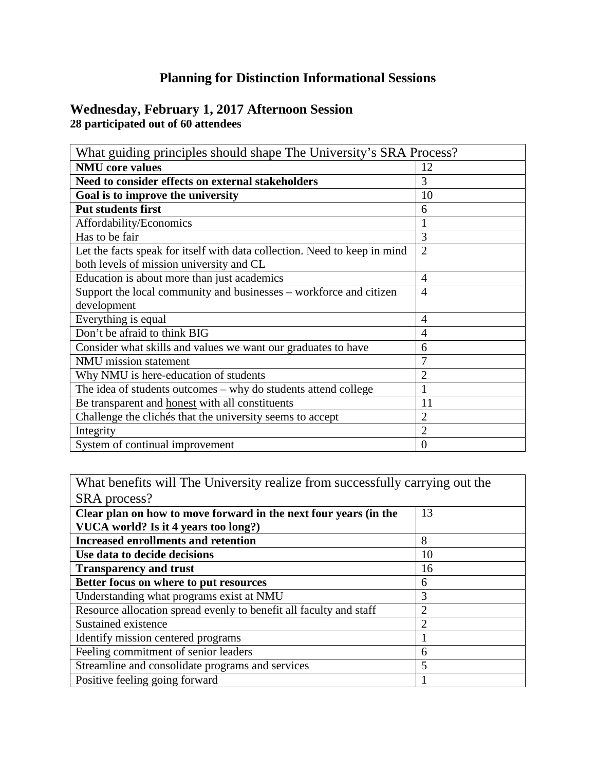## **Planning for Distinction Informational Sessions**

## **Wednesday, February 1, 2017 Afternoon Session 28 participated out of 60 attendees**

| What guiding principles should shape The University's SRA Process?        |                |  |
|---------------------------------------------------------------------------|----------------|--|
| <b>NMU</b> core values                                                    | 12             |  |
| Need to consider effects on external stakeholders                         | 3              |  |
| Goal is to improve the university                                         | 10             |  |
| <b>Put students first</b>                                                 | 6              |  |
| Affordability/Economics                                                   | 1              |  |
| Has to be fair                                                            | 3              |  |
| Let the facts speak for itself with data collection. Need to keep in mind | $\overline{2}$ |  |
| both levels of mission university and CL                                  |                |  |
| Education is about more than just academics                               | $\overline{4}$ |  |
| Support the local community and businesses – workforce and citizen        | $\overline{4}$ |  |
| development                                                               |                |  |
| Everything is equal                                                       | $\overline{4}$ |  |
| Don't be afraid to think BIG                                              | 4              |  |
| Consider what skills and values we want our graduates to have             | 6              |  |
| <b>NMU</b> mission statement                                              | 7              |  |
| Why NMU is here-education of students                                     | $\overline{2}$ |  |
| The idea of students outcomes - why do students attend college            | 1              |  |
| Be transparent and honest with all constituents                           | 11             |  |
| Challenge the clichés that the university seems to accept                 | $\overline{2}$ |  |
| Integrity                                                                 | $\overline{2}$ |  |
| System of continual improvement                                           | $\theta$       |  |

What benefits will The University realize from successfully carrying out the SRA process?

| <b>DIATE PLOCED.</b>                                               |    |
|--------------------------------------------------------------------|----|
| Clear plan on how to move forward in the next four years (in the   | 13 |
| VUCA world? Is it 4 years too long?)                               |    |
| <b>Increased enrollments and retention</b>                         | 8  |
| Use data to decide decisions                                       | 10 |
| <b>Transparency and trust</b>                                      | 16 |
| Better focus on where to put resources                             | 6  |
| Understanding what programs exist at NMU                           | 3  |
| Resource allocation spread evenly to benefit all faculty and staff |    |
| Sustained existence                                                |    |
| Identify mission centered programs                                 |    |
| Feeling commitment of senior leaders                               | 6  |
| Streamline and consolidate programs and services                   | 5  |
| Positive feeling going forward                                     |    |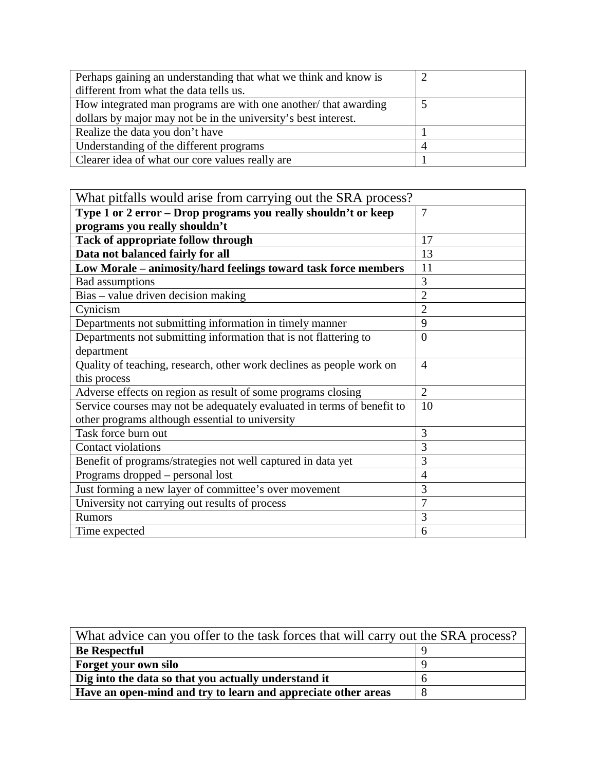| Perhaps gaining an understanding that what we think and know is |  |
|-----------------------------------------------------------------|--|
| different from what the data tells us.                          |  |
| How integrated man programs are with one another/ that awarding |  |
| dollars by major may not be in the university's best interest.  |  |
| Realize the data you don't have                                 |  |
| Understanding of the different programs                         |  |
| Clearer idea of what our core values really are                 |  |

| What pitfalls would arise from carrying out the SRA process?           |                |
|------------------------------------------------------------------------|----------------|
| Type 1 or 2 error – Drop programs you really shouldn't or keep         | 7              |
| programs you really shouldn't                                          |                |
| Tack of appropriate follow through                                     | 17             |
| Data not balanced fairly for all                                       | 13             |
| Low Morale - animosity/hard feelings toward task force members         | 11             |
| <b>Bad</b> assumptions                                                 | 3              |
| Bias – value driven decision making                                    | $\overline{2}$ |
| Cynicism                                                               | $\overline{2}$ |
| Departments not submitting information in timely manner                | 9              |
| Departments not submitting information that is not flattering to       | $\overline{0}$ |
| department                                                             |                |
| Quality of teaching, research, other work declines as people work on   | $\overline{4}$ |
| this process                                                           |                |
| Adverse effects on region as result of some programs closing           | $\overline{2}$ |
| Service courses may not be adequately evaluated in terms of benefit to | 10             |
| other programs although essential to university                        |                |
| Task force burn out                                                    | 3              |
| Contact violations                                                     | 3              |
| Benefit of programs/strategies not well captured in data yet           | 3              |
| Programs dropped – personal lost                                       | $\overline{4}$ |
| Just forming a new layer of committee's over movement                  | 3              |
| University not carrying out results of process                         | $\overline{7}$ |
| <b>Rumors</b>                                                          | 3              |
| Time expected                                                          | 6              |

| What advice can you offer to the task forces that will carry out the SRA process? |  |  |
|-----------------------------------------------------------------------------------|--|--|
| <b>Be Respectful</b>                                                              |  |  |
| Forget your own silo                                                              |  |  |
| Dig into the data so that you actually understand it                              |  |  |
| Have an open-mind and try to learn and appreciate other areas                     |  |  |